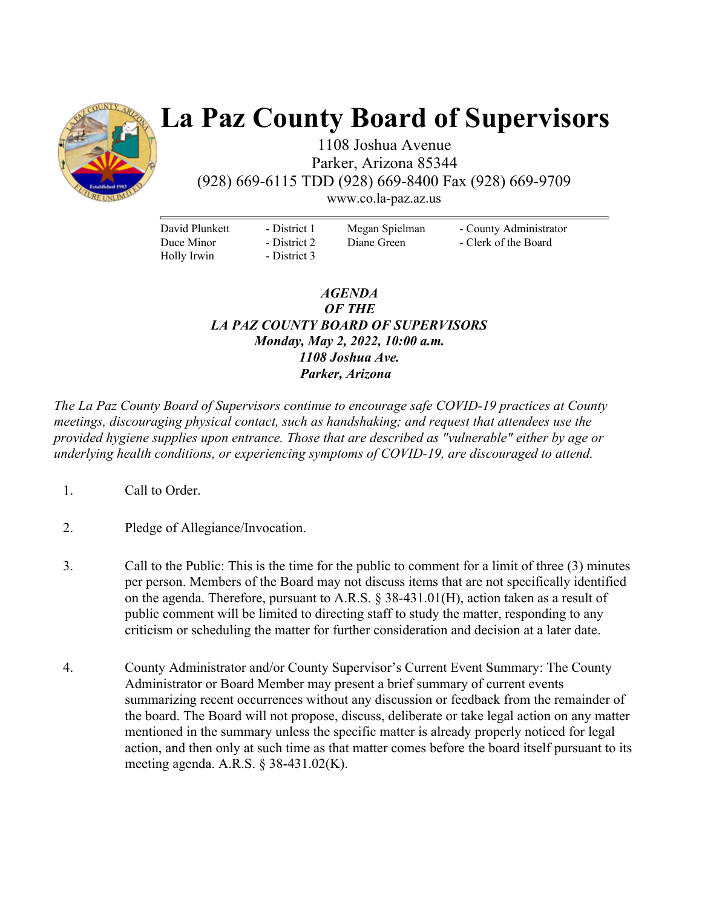

# **La Paz County Board of Supervisors**

1108 Joshua Avenue Parker, Arizona 85344 (928) 669-6115 TDD (928) 669-8400 Fax (928) 669-9709

www.co.la-paz.az.us

David Plunkett Duce Minor Holly Irwin

- District 1 - District 2 - District 3 Megan Spielman Diane Green

- County Administrator - Clerk of the Board

### *AGENDA OF THE LA PAZ COUNTY BOARD OF SUPERVISORS Monday, May 2, 2022, 10:00 a.m. 1108 Joshua Ave. Parker, Arizona*

*The La Paz County Board of Supervisors continue to encourage safe COVID-19 practices at County meetings, discouraging physical contact, such as handshaking; and request that attendees use the provided hygiene supplies upon entrance. Those that are described as "vulnerable" either by age or underlying health conditions, or experiencing symptoms of COVID-19, are discouraged to attend.* 

- 1. Call to Order.
- 2. Pledge of Allegiance/Invocation.
- 3. Call to the Public: This is the time for the public to comment for a limit of three (3) minutes per person. Members of the Board may not discuss items that are not specifically identified on the agenda. Therefore, pursuant to A.R.S. § 38-431.01(H), action taken as a result of public comment will be limited to directing staff to study the matter, responding to any criticism or scheduling the matter for further consideration and decision at a later date.
- 4. County Administrator and/or County Supervisor's Current Event Summary: The County Administrator or Board Member may present a brief summary of current events summarizing recent occurrences without any discussion or feedback from the remainder of the board. The Board will not propose, discuss, deliberate or take legal action on any matter mentioned in the summary unless the specific matter is already properly noticed for legal action, and then only at such time as that matter comes before the board itself pursuant to its meeting agenda. A.R.S. § 38-431.02(K).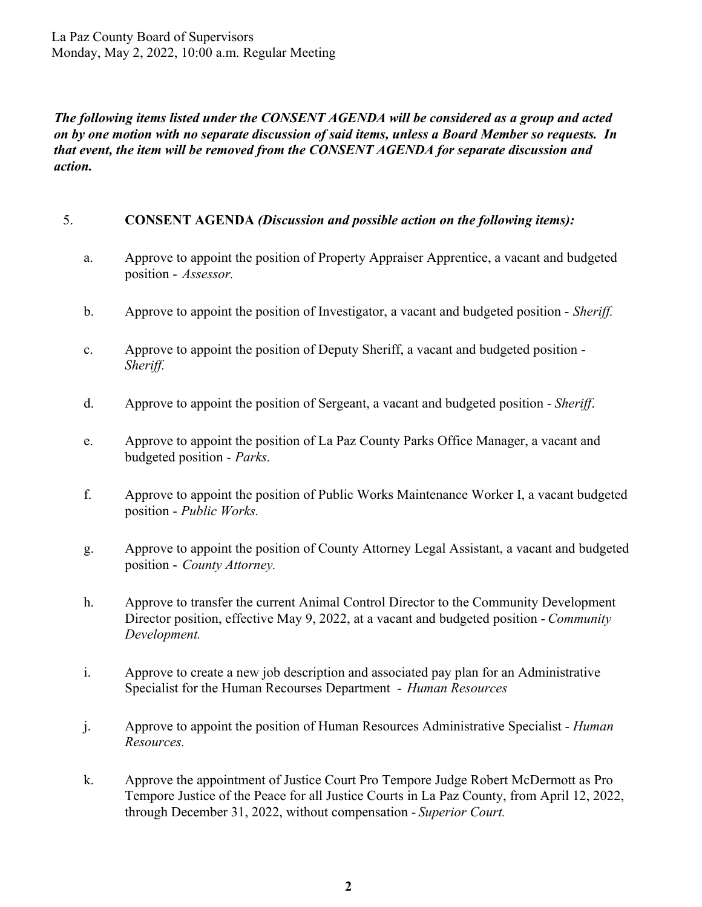*The following items listed under the CONSENT AGENDA will be considered as a group and acted on by one motion with no separate discussion of said items, unless a Board Member so requests. In that event, the item will be removed from the CONSENT AGENDA for separate discussion and action.* 

### 5. **CONSENT AGENDA** *(Discussion and possible action on the following items):*

- a. Approve to appoint the position of Property Appraiser Apprentice, a vacant and budgeted position - *Assessor.*
- b. Approve to appoint the position of Investigator, a vacant and budgeted position *Sheriff.*
- c. Approve to appoint the position of Deputy Sheriff, a vacant and budgeted position *Sheriff.*
- d. Approve to appoint the position of Sergeant, a vacant and budgeted position *Sheriff*.
- e. Approve to appoint the position of La Paz County Parks Office Manager, a vacant and budgeted position - *Parks.*
- f. Approve to appoint the position of Public Works Maintenance Worker I, a vacant budgeted position - *Public Works.*
- g. Approve to appoint the position of County Attorney Legal Assistant, a vacant and budgeted position - *County Attorney.*
- h. Approve to transfer the current Animal Control Director to the Community Development Director position, effective May 9, 2022, at a vacant and budgeted position - *Community Development.*
- i. Approve to create a new job description and associated pay plan for an Administrative Specialist for the Human Recourses Department - *Human Resources*
- j. Approve to appoint the position of Human Resources Administrative Specialist *Human Resources.*
- k. Approve the appointment of Justice Court Pro Tempore Judge Robert McDermott as Pro Tempore Justice of the Peace for all Justice Courts in La Paz County, from April 12, 2022, through December 31, 2022, without compensation - *Superior Court.*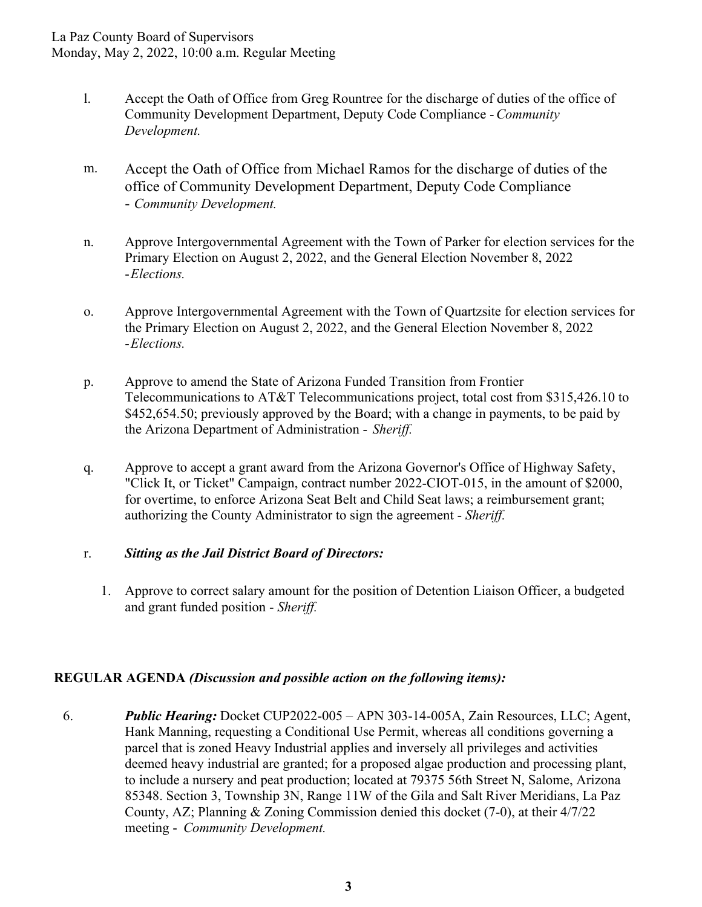- l. Accept the Oath of Office from Greg Rountree for the discharge of duties of the office of Community Development Department, Deputy Code Compliance - *Community Development.*
- m. Accept the Oath of Office from Michael Ramos for the discharge of duties of the office of Community Development Department, Deputy Code Compliance - *Community Development.*
- n. Approve Intergovernmental Agreement with the Town of Parker for election services for the Primary Election on August 2, 2022, and the General Election November 8, 2022 - *Elections.*
- o. Approve Intergovernmental Agreement with the Town of Quartzsite for election services for the Primary Election on August 2, 2022, and the General Election November 8, 2022 - *Elections.*
- p. Approve to amend the State of Arizona Funded Transition from Frontier Telecommunications to AT&T Telecommunications project, total cost from \$315,426.10 to \$452,654.50; previously approved by the Board; with a change in payments, to be paid by the Arizona Department of Administration - *Sheriff.*
- q. Approve to accept a grant award from the Arizona Governor's Office of Highway Safety, "Click It, or Ticket" Campaign, contract number 2022-CIOT-015, in the amount of \$2000, for overtime, to enforce Arizona Seat Belt and Child Seat laws; a reimbursement grant; authorizing the County Administrator to sign the agreement - *Sheriff.*

#### r. *Sitting as the Jail District Board of Directors:*

1. Approve to correct salary amount for the position of Detention Liaison Officer, a budgeted and grant funded position - *Sheriff.*

## **REGULAR AGENDA** *(Discussion and possible action on the following items):*

6. *Public Hearing:* Docket CUP2022-005 – APN 303-14-005A, Zain Resources, LLC; Agent, Hank Manning, requesting a Conditional Use Permit, whereas all conditions governing a parcel that is zoned Heavy Industrial applies and inversely all privileges and activities deemed heavy industrial are granted; for a proposed algae production and processing plant, to include a nursery and peat production; located at 79375 56th Street N, Salome, Arizona 85348. Section 3, Township 3N, Range 11W of the Gila and Salt River Meridians, La Paz County, AZ; Planning & Zoning Commission denied this docket (7-0), at their 4/7/22 meeting - *Community Development.*